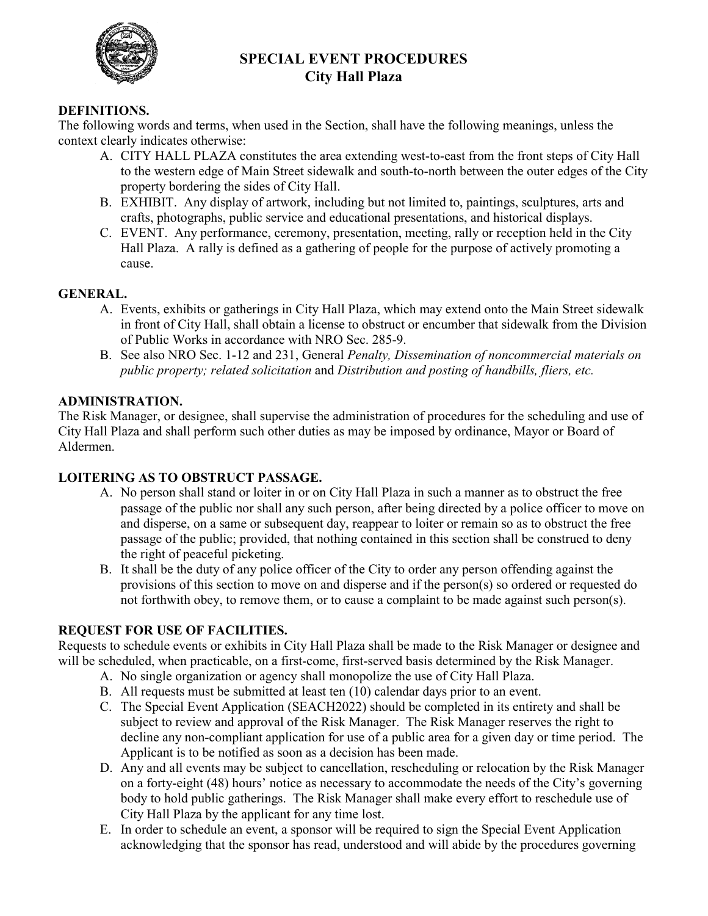

# **SPECIAL EVENT PROCEDURES City Hall Plaza**

# **DEFINITIONS.**

The following words and terms, when used in the Section, shall have the following meanings, unless the context clearly indicates otherwise:

- A. CITY HALL PLAZA constitutes the area extending west-to-east from the front steps of City Hall to the western edge of Main Street sidewalk and south-to-north between the outer edges of the City property bordering the sides of City Hall.
- B. EXHIBIT. Any display of artwork, including but not limited to, paintings, sculptures, arts and crafts, photographs, public service and educational presentations, and historical displays.
- C. EVENT. Any performance, ceremony, presentation, meeting, rally or reception held in the City Hall Plaza. A rally is defined as a gathering of people for the purpose of actively promoting a cause.

# **GENERAL.**

- A. Events, exhibits or gatherings in City Hall Plaza, which may extend onto the Main Street sidewalk in front of City Hall, shall obtain a license to obstruct or encumber that sidewalk from the Division of Public Works in accordance with NRO Sec. 285-9.
- B. See also NRO Sec. 1-12 and 231, General *Penalty, Dissemination of noncommercial materials on public property; related solicitation* and *Distribution and posting of handbills, fliers, etc.*

# **ADMINISTRATION.**

The Risk Manager, or designee, shall supervise the administration of procedures for the scheduling and use of City Hall Plaza and shall perform such other duties as may be imposed by ordinance, Mayor or Board of Aldermen.

# **LOITERING AS TO OBSTRUCT PASSAGE.**

- A. No person shall stand or loiter in or on City Hall Plaza in such a manner as to obstruct the free passage of the public nor shall any such person, after being directed by a police officer to move on and disperse, on a same or subsequent day, reappear to loiter or remain so as to obstruct the free passage of the public; provided, that nothing contained in this section shall be construed to deny the right of peaceful picketing.
- B. It shall be the duty of any police officer of the City to order any person offending against the provisions of this section to move on and disperse and if the person(s) so ordered or requested do not forthwith obey, to remove them, or to cause a complaint to be made against such person(s).

### **REQUEST FOR USE OF FACILITIES.**

Requests to schedule events or exhibits in City Hall Plaza shall be made to the Risk Manager or designee and will be scheduled, when practicable, on a first-come, first-served basis determined by the Risk Manager.

- A. No single organization or agency shall monopolize the use of City Hall Plaza.
- B. All requests must be submitted at least ten (10) calendar days prior to an event.
- C. The Special Event Application (SEACH2022) should be completed in its entirety and shall be subject to review and approval of the Risk Manager. The Risk Manager reserves the right to decline any non-compliant application for use of a public area for a given day or time period. The Applicant is to be notified as soon as a decision has been made.
- D. Any and all events may be subject to cancellation, rescheduling or relocation by the Risk Manager on a forty-eight (48) hours' notice as necessary to accommodate the needs of the City's governing body to hold public gatherings. The Risk Manager shall make every effort to reschedule use of City Hall Plaza by the applicant for any time lost.
- E. In order to schedule an event, a sponsor will be required to sign the Special Event Application acknowledging that the sponsor has read, understood and will abide by the procedures governing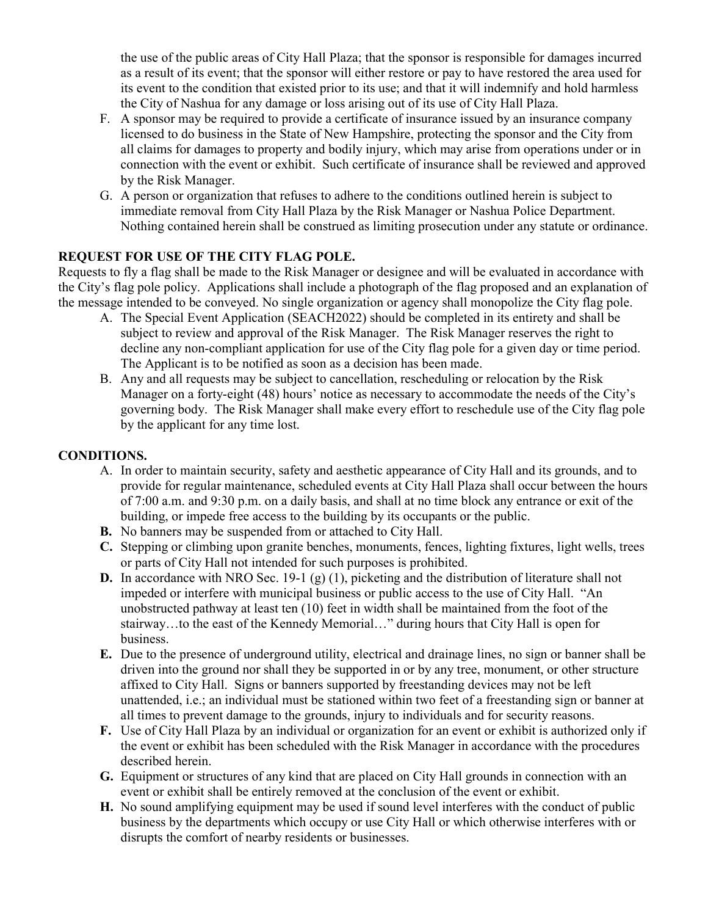the use of the public areas of City Hall Plaza; that the sponsor is responsible for damages incurred as a result of its event; that the sponsor will either restore or pay to have restored the area used for its event to the condition that existed prior to its use; and that it will indemnify and hold harmless the City of Nashua for any damage or loss arising out of its use of City Hall Plaza.

- F. A sponsor may be required to provide a certificate of insurance issued by an insurance company licensed to do business in the State of New Hampshire, protecting the sponsor and the City from all claims for damages to property and bodily injury, which may arise from operations under or in connection with the event or exhibit. Such certificate of insurance shall be reviewed and approved by the Risk Manager.
- G. A person or organization that refuses to adhere to the conditions outlined herein is subject to immediate removal from City Hall Plaza by the Risk Manager or Nashua Police Department. Nothing contained herein shall be construed as limiting prosecution under any statute or ordinance.

# **REQUEST FOR USE OF THE CITY FLAG POLE.**

Requests to fly a flag shall be made to the Risk Manager or designee and will be evaluated in accordance with the City's flag pole policy. Applications shall include a photograph of the flag proposed and an explanation of the message intended to be conveyed. No single organization or agency shall monopolize the City flag pole.

- A. The Special Event Application (SEACH2022) should be completed in its entirety and shall be subject to review and approval of the Risk Manager. The Risk Manager reserves the right to decline any non-compliant application for use of the City flag pole for a given day or time period. The Applicant is to be notified as soon as a decision has been made.
- B. Any and all requests may be subject to cancellation, rescheduling or relocation by the Risk Manager on a forty-eight (48) hours' notice as necessary to accommodate the needs of the City's governing body. The Risk Manager shall make every effort to reschedule use of the City flag pole by the applicant for any time lost.

### **CONDITIONS.**

- A. In order to maintain security, safety and aesthetic appearance of City Hall and its grounds, and to provide for regular maintenance, scheduled events at City Hall Plaza shall occur between the hours of 7:00 a.m. and 9:30 p.m. on a daily basis, and shall at no time block any entrance or exit of the building, or impede free access to the building by its occupants or the public.
- **B.** No banners may be suspended from or attached to City Hall.
- **C.** Stepping or climbing upon granite benches, monuments, fences, lighting fixtures, light wells, trees or parts of City Hall not intended for such purposes is prohibited.
- **D.** In accordance with NRO Sec. 19-1 (g) (1), picketing and the distribution of literature shall not impeded or interfere with municipal business or public access to the use of City Hall. "An unobstructed pathway at least ten (10) feet in width shall be maintained from the foot of the stairway…to the east of the Kennedy Memorial…" during hours that City Hall is open for business.
- **E.** Due to the presence of underground utility, electrical and drainage lines, no sign or banner shall be driven into the ground nor shall they be supported in or by any tree, monument, or other structure affixed to City Hall. Signs or banners supported by freestanding devices may not be left unattended, i.e.; an individual must be stationed within two feet of a freestanding sign or banner at all times to prevent damage to the grounds, injury to individuals and for security reasons.
- **F.** Use of City Hall Plaza by an individual or organization for an event or exhibit is authorized only if the event or exhibit has been scheduled with the Risk Manager in accordance with the procedures described herein.
- **G.** Equipment or structures of any kind that are placed on City Hall grounds in connection with an event or exhibit shall be entirely removed at the conclusion of the event or exhibit.
- **H.** No sound amplifying equipment may be used if sound level interferes with the conduct of public business by the departments which occupy or use City Hall or which otherwise interferes with or disrupts the comfort of nearby residents or businesses.